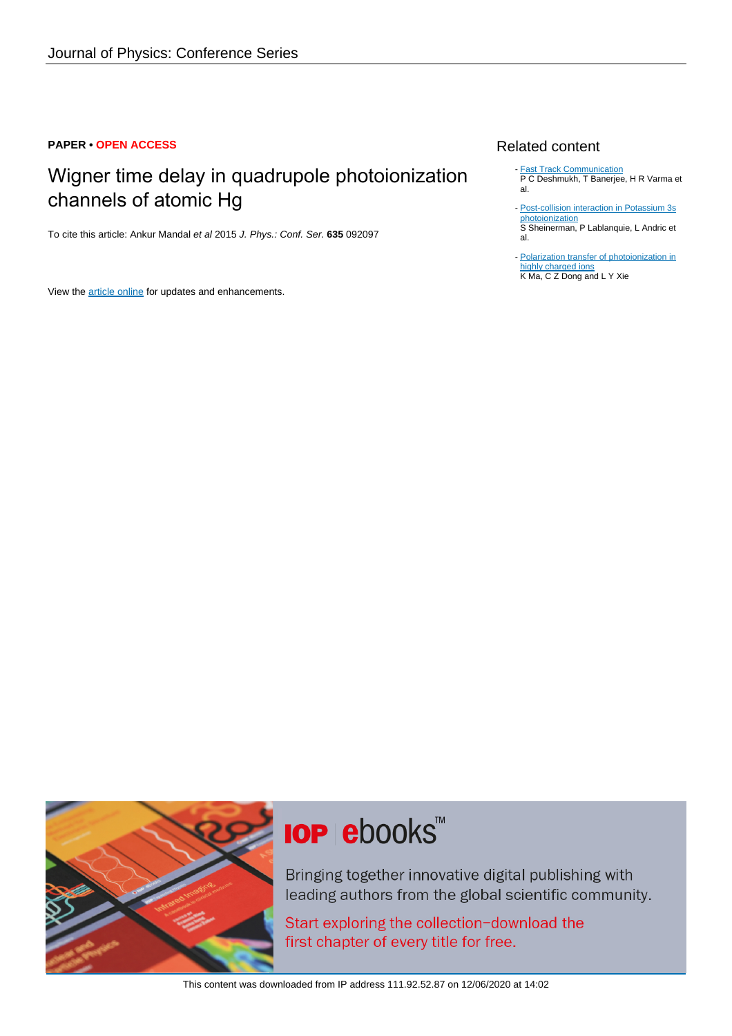### **PAPER • OPEN ACCESS**

# Wigner time delay in quadrupole photoionization channels of atomic Hg

To cite this article: Ankur Mandal et al 2015 J. Phys.: Conf. Ser. **635** 092097

View the [article online](https://doi.org/10.1088/1742-6596/635/9/092097) for updates and enhancements.

## Related content

- **[Fast Track Communication](http://iopscience.iop.org/article/10.1088/0953-4075/41/2/021002)** P C Deshmukh, T Banerjee, H R Varma et al.
- [Post-collision interaction in Potassium 3s](http://iopscience.iop.org/article/10.1088/1742-6596/635/9/092086) [photoionization](http://iopscience.iop.org/article/10.1088/1742-6596/635/9/092086) S Sheinerman, P Lablanquie, L Andric et al.
- [Polarization transfer of photoionization in](http://iopscience.iop.org/article/10.1088/1742-6596/635/9/092071) [highly charged ions](http://iopscience.iop.org/article/10.1088/1742-6596/635/9/092071) K Ma, C Z Dong and L Y Xie



# **IOP ebooks**™

Bringing together innovative digital publishing with leading authors from the global scientific community.

Start exploring the collection-download the first chapter of every title for free.